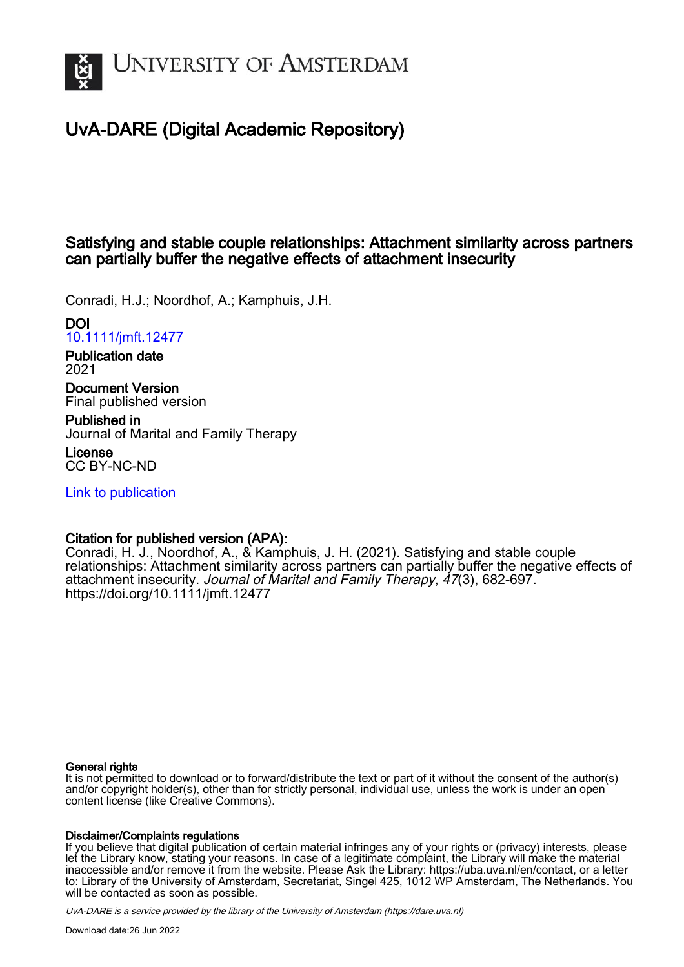

# UvA-DARE (Digital Academic Repository)

## Satisfying and stable couple relationships: Attachment similarity across partners can partially buffer the negative effects of attachment insecurity

Conradi, H.J.; Noordhof, A.; Kamphuis, J.H.

DOI [10.1111/jmft.12477](https://doi.org/10.1111/jmft.12477)

Publication date 2021

Document Version Final published version

Published in Journal of Marital and Family Therapy

License CC BY-NC-ND

[Link to publication](https://dare.uva.nl/personal/pure/en/publications/satisfying-and-stable-couple-relationships-attachment-similarity-across-partners-can-partially-buffer-the-negative-effects-of-attachment-insecurity(d3c1b2e0-0d9e-43c5-9fb9-09ab9f949509).html)

## Citation for published version (APA):

Conradi, H. J., Noordhof, A., & Kamphuis, J. H. (2021). Satisfying and stable couple relationships: Attachment similarity across partners can partially buffer the negative effects of attachment insecurity. Journal of Marital and Family Therapy, 47(3), 682-697. <https://doi.org/10.1111/jmft.12477>

#### General rights

It is not permitted to download or to forward/distribute the text or part of it without the consent of the author(s) and/or copyright holder(s), other than for strictly personal, individual use, unless the work is under an open content license (like Creative Commons).

#### Disclaimer/Complaints regulations

If you believe that digital publication of certain material infringes any of your rights or (privacy) interests, please let the Library know, stating your reasons. In case of a legitimate complaint, the Library will make the material inaccessible and/or remove it from the website. Please Ask the Library: https://uba.uva.nl/en/contact, or a letter to: Library of the University of Amsterdam, Secretariat, Singel 425, 1012 WP Amsterdam, The Netherlands. You will be contacted as soon as possible.

UvA-DARE is a service provided by the library of the University of Amsterdam (http*s*://dare.uva.nl)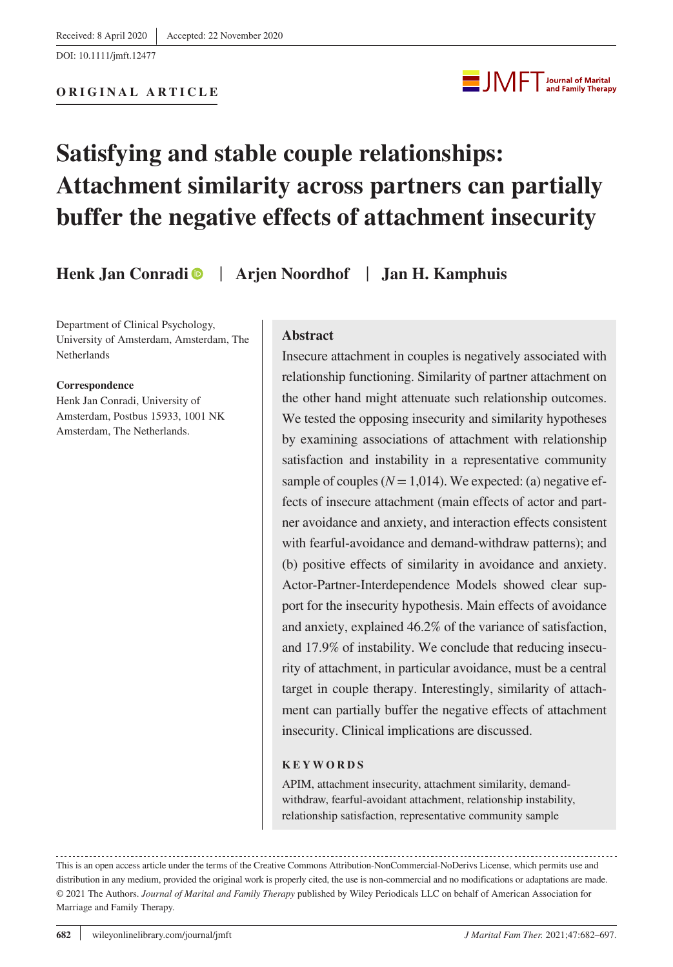DOI: 10.1111/jmft.12477



# **Satisfying and stable couple relationships: Attachment similarity across partners can partially buffer the negative effects of attachment insecurity**

**Henk Jan Conradi** | **Arjen Noordhof** | **Jan H. Kamphuis**

Department of Clinical Psychology, University of Amsterdam, Amsterdam, The Netherlands

#### **Correspondence**

Henk Jan Conradi, University of Amsterdam, Postbus 15933, 1001 NK Amsterdam, The Netherlands.

#### **Abstract**

Insecure attachment in couples is negatively associated with relationship functioning. Similarity of partner attachment on the other hand might attenuate such relationship outcomes. We tested the opposing insecurity and similarity hypotheses by examining associations of attachment with relationship satisfaction and instability in a representative community sample of couples  $(N = 1, 014)$ . We expected: (a) negative effects of insecure attachment (main effects of actor and partner avoidance and anxiety, and interaction effects consistent with fearful-avoidance and demand-withdraw patterns); and (b) positive effects of similarity in avoidance and anxiety. Actor-Partner-Interdependence Models showed clear support for the insecurity hypothesis. Main effects of avoidance and anxiety, explained 46.2% of the variance of satisfaction, and 17.9% of instability. We conclude that reducing insecurity of attachment, in particular avoidance, must be a central target in couple therapy. Interestingly, similarity of attachment can partially buffer the negative effects of attachment insecurity. Clinical implications are discussed.

#### **KEYWORDS**

APIM, attachment insecurity, attachment similarity, demandwithdraw, fearful-avoidant attachment, relationship instability, relationship satisfaction, representative community sample

This is an open access article under the terms of the [Creative Commons Attribution-NonCommercial-NoDerivs](http://creativecommons.org/licenses/by-nc-nd/4.0/) License, which permits use and distribution in any medium, provided the original work is properly cited, the use is non-commercial and no modifications or adaptations are made. © 2021 The Authors. *Journal of Marital and Family Therapy* published by Wiley Periodicals LLC on behalf of American Association for Marriage and Family Therapy.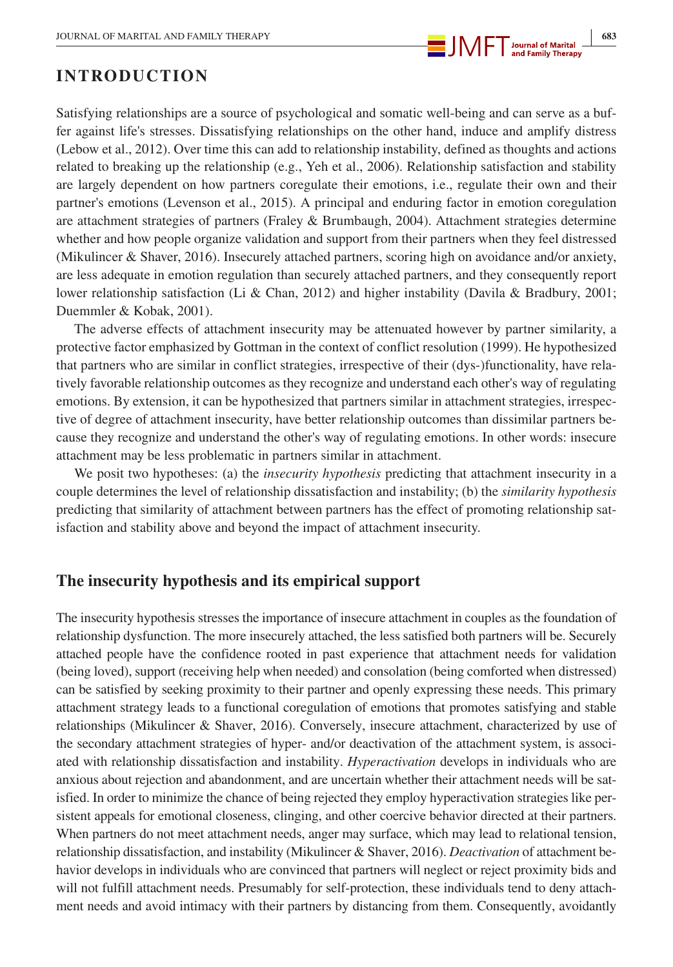

## **INTRODUCTION**

Satisfying relationships are a source of psychological and somatic well-being and can serve as a buffer against life's stresses. Dissatisfying relationships on the other hand, induce and amplify distress (Lebow et al., 2012). Over time this can add to relationship instability, defined as thoughts and actions related to breaking up the relationship (e.g., Yeh et al., 2006). Relationship satisfaction and stability are largely dependent on how partners coregulate their emotions, i.e., regulate their own and their partner's emotions (Levenson et al., 2015). A principal and enduring factor in emotion coregulation are attachment strategies of partners (Fraley & Brumbaugh, 2004). Attachment strategies determine whether and how people organize validation and support from their partners when they feel distressed (Mikulincer & Shaver, 2016). Insecurely attached partners, scoring high on avoidance and/or anxiety, are less adequate in emotion regulation than securely attached partners, and they consequently report lower relationship satisfaction (Li & Chan, 2012) and higher instability (Davila & Bradbury, 2001; Duemmler & Kobak, 2001).

The adverse effects of attachment insecurity may be attenuated however by partner similarity, a protective factor emphasized by Gottman in the context of conflict resolution (1999). He hypothesized that partners who are similar in conflict strategies, irrespective of their (dys-)functionality, have relatively favorable relationship outcomes as they recognize and understand each other's way of regulating emotions. By extension, it can be hypothesized that partners similar in attachment strategies, irrespective of degree of attachment insecurity, have better relationship outcomes than dissimilar partners because they recognize and understand the other's way of regulating emotions. In other words: insecure attachment may be less problematic in partners similar in attachment.

We posit two hypotheses: (a) the *insecurity hypothesis* predicting that attachment insecurity in a couple determines the level of relationship dissatisfaction and instability; (b) the *similarity hypothesis* predicting that similarity of attachment between partners has the effect of promoting relationship satisfaction and stability above and beyond the impact of attachment insecurity.

## **The insecurity hypothesis and its empirical support**

The insecurity hypothesis stresses the importance of insecure attachment in couples as the foundation of relationship dysfunction. The more insecurely attached, the less satisfied both partners will be. Securely attached people have the confidence rooted in past experience that attachment needs for validation (being loved), support (receiving help when needed) and consolation (being comforted when distressed) can be satisfied by seeking proximity to their partner and openly expressing these needs. This primary attachment strategy leads to a functional coregulation of emotions that promotes satisfying and stable relationships (Mikulincer & Shaver, 2016). Conversely, insecure attachment, characterized by use of the secondary attachment strategies of hyper- and/or deactivation of the attachment system, is associated with relationship dissatisfaction and instability. *Hyperactivation* develops in individuals who are anxious about rejection and abandonment, and are uncertain whether their attachment needs will be satisfied. In order to minimize the chance of being rejected they employ hyperactivation strategies like persistent appeals for emotional closeness, clinging, and other coercive behavior directed at their partners. When partners do not meet attachment needs, anger may surface, which may lead to relational tension, relationship dissatisfaction, and instability (Mikulincer & Shaver, 2016). *Deactivation* of attachment behavior develops in individuals who are convinced that partners will neglect or reject proximity bids and will not fulfill attachment needs. Presumably for self-protection, these individuals tend to deny attachment needs and avoid intimacy with their partners by distancing from them. Consequently, avoidantly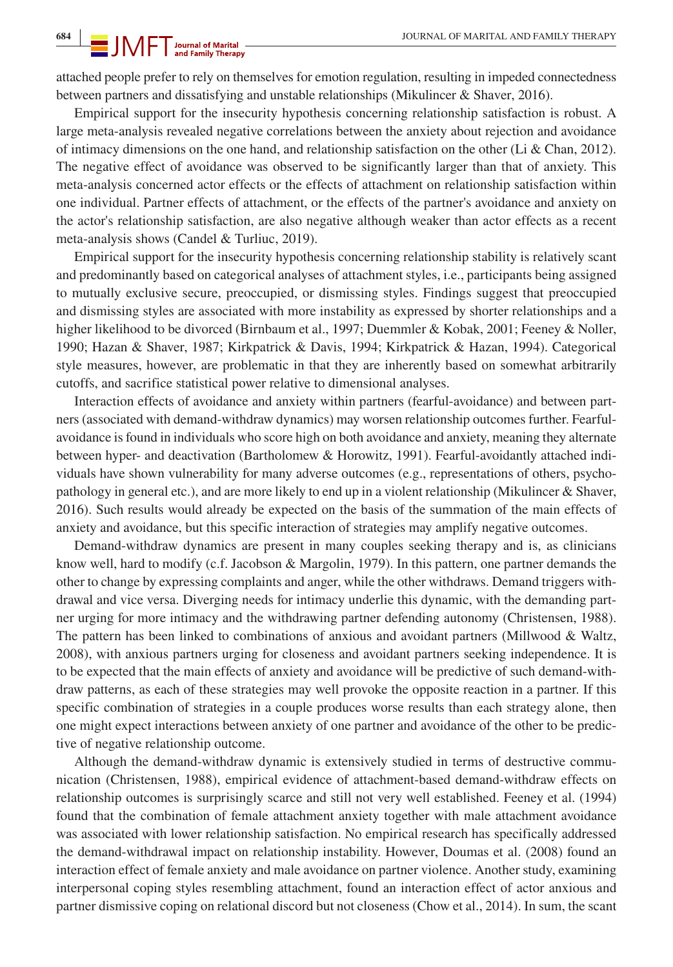attached people prefer to rely on themselves for emotion regulation, resulting in impeded connectedness between partners and dissatisfying and unstable relationships (Mikulincer & Shaver, 2016).

Empirical support for the insecurity hypothesis concerning relationship satisfaction is robust. A large meta-analysis revealed negative correlations between the anxiety about rejection and avoidance of intimacy dimensions on the one hand, and relationship satisfaction on the other (Li & Chan, 2012). The negative effect of avoidance was observed to be significantly larger than that of anxiety. This meta-analysis concerned actor effects or the effects of attachment on relationship satisfaction within one individual. Partner effects of attachment, or the effects of the partner's avoidance and anxiety on the actor's relationship satisfaction, are also negative although weaker than actor effects as a recent meta-analysis shows (Candel & Turliuc, 2019).

Empirical support for the insecurity hypothesis concerning relationship stability is relatively scant and predominantly based on categorical analyses of attachment styles, i.e., participants being assigned to mutually exclusive secure, preoccupied, or dismissing styles. Findings suggest that preoccupied and dismissing styles are associated with more instability as expressed by shorter relationships and a higher likelihood to be divorced (Birnbaum et al., 1997; Duemmler & Kobak, 2001; Feeney & Noller, 1990; Hazan & Shaver, 1987; Kirkpatrick & Davis, 1994; Kirkpatrick & Hazan, 1994). Categorical style measures, however, are problematic in that they are inherently based on somewhat arbitrarily cutoffs, and sacrifice statistical power relative to dimensional analyses.

Interaction effects of avoidance and anxiety within partners (fearful-avoidance) and between partners (associated with demand-withdraw dynamics) may worsen relationship outcomes further. Fearfulavoidance is found in individuals who score high on both avoidance and anxiety, meaning they alternate between hyper- and deactivation (Bartholomew & Horowitz, 1991). Fearful-avoidantly attached individuals have shown vulnerability for many adverse outcomes (e.g., representations of others, psychopathology in general etc.), and are more likely to end up in a violent relationship (Mikulincer & Shaver, 2016). Such results would already be expected on the basis of the summation of the main effects of anxiety and avoidance, but this specific interaction of strategies may amplify negative outcomes.

Demand-withdraw dynamics are present in many couples seeking therapy and is, as clinicians know well, hard to modify (c.f. Jacobson & Margolin, 1979). In this pattern, one partner demands the other to change by expressing complaints and anger, while the other withdraws. Demand triggers withdrawal and vice versa. Diverging needs for intimacy underlie this dynamic, with the demanding partner urging for more intimacy and the withdrawing partner defending autonomy (Christensen, 1988). The pattern has been linked to combinations of anxious and avoidant partners (Millwood & Waltz, 2008), with anxious partners urging for closeness and avoidant partners seeking independence. It is to be expected that the main effects of anxiety and avoidance will be predictive of such demand-withdraw patterns, as each of these strategies may well provoke the opposite reaction in a partner. If this specific combination of strategies in a couple produces worse results than each strategy alone, then one might expect interactions between anxiety of one partner and avoidance of the other to be predictive of negative relationship outcome.

Although the demand-withdraw dynamic is extensively studied in terms of destructive communication (Christensen, 1988), empirical evidence of attachment-based demand-withdraw effects on relationship outcomes is surprisingly scarce and still not very well established. Feeney et al. (1994) found that the combination of female attachment anxiety together with male attachment avoidance was associated with lower relationship satisfaction. No empirical research has specifically addressed the demand-withdrawal impact on relationship instability. However, Doumas et al. (2008) found an interaction effect of female anxiety and male avoidance on partner violence. Another study, examining interpersonal coping styles resembling attachment, found an interaction effect of actor anxious and partner dismissive coping on relational discord but not closeness (Chow et al., 2014). In sum, the scant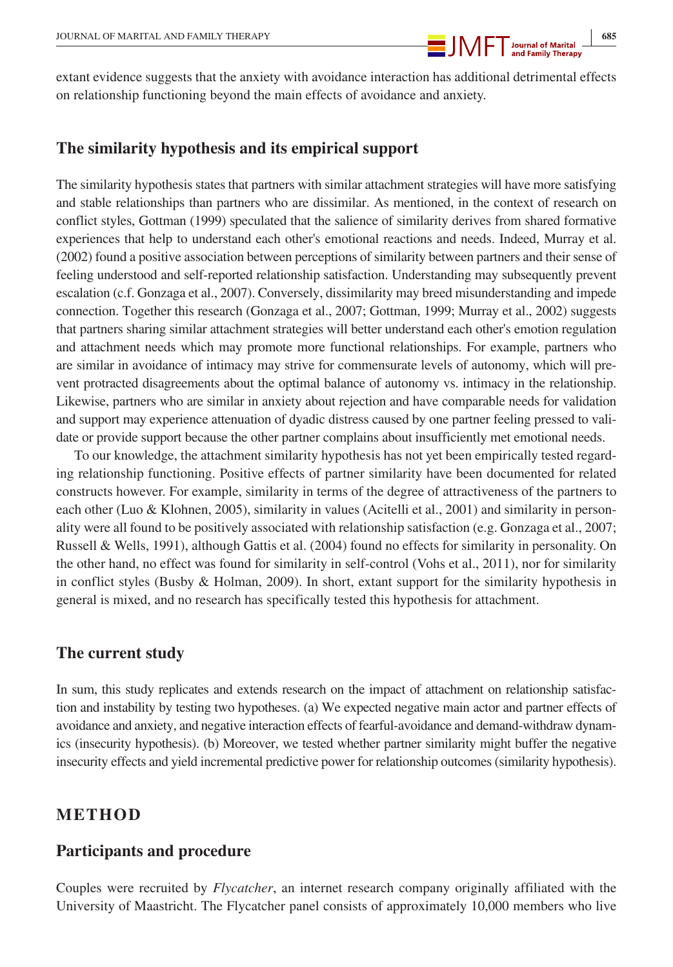

extant evidence suggests that the anxiety with avoidance interaction has additional detrimental effects on relationship functioning beyond the main effects of avoidance and anxiety.

#### **The similarity hypothesis and its empirical support**

The similarity hypothesis states that partners with similar attachment strategies will have more satisfying and stable relationships than partners who are dissimilar. As mentioned, in the context of research on conflict styles, Gottman (1999) speculated that the salience of similarity derives from shared formative experiences that help to understand each other's emotional reactions and needs. Indeed, Murray et al. (2002) found a positive association between perceptions of similarity between partners and their sense of feeling understood and self-reported relationship satisfaction. Understanding may subsequently prevent escalation (c.f. Gonzaga et al., 2007). Conversely, dissimilarity may breed misunderstanding and impede connection. Together this research (Gonzaga et al., 2007; Gottman, 1999; Murray et al., 2002) suggests that partners sharing similar attachment strategies will better understand each other's emotion regulation and attachment needs which may promote more functional relationships. For example, partners who are similar in avoidance of intimacy may strive for commensurate levels of autonomy, which will prevent protracted disagreements about the optimal balance of autonomy vs. intimacy in the relationship. Likewise, partners who are similar in anxiety about rejection and have comparable needs for validation and support may experience attenuation of dyadic distress caused by one partner feeling pressed to validate or provide support because the other partner complains about insufficiently met emotional needs.

To our knowledge, the attachment similarity hypothesis has not yet been empirically tested regarding relationship functioning. Positive effects of partner similarity have been documented for related constructs however. For example, similarity in terms of the degree of attractiveness of the partners to each other (Luo & Klohnen, 2005), similarity in values (Acitelli et al., 2001) and similarity in personality were all found to be positively associated with relationship satisfaction (e.g. Gonzaga et al., 2007; Russell & Wells, 1991), although Gattis et al. (2004) found no effects for similarity in personality. On the other hand, no effect was found for similarity in self-control (Vohs et al., 2011), nor for similarity in conflict styles (Busby & Holman, 2009). In short, extant support for the similarity hypothesis in general is mixed, and no research has specifically tested this hypothesis for attachment.

### **The current study**

In sum, this study replicates and extends research on the impact of attachment on relationship satisfaction and instability by testing two hypotheses. (a) We expected negative main actor and partner effects of avoidance and anxiety, and negative interaction effects of fearful-avoidance and demand-withdraw dynamics (insecurity hypothesis). (b) Moreover, we tested whether partner similarity might buffer the negative insecurity effects and yield incremental predictive power for relationship outcomes (similarity hypothesis).

#### **METHOD**

### **Participants and procedure**

Couples were recruited by *Flycatcher*, an internet research company originally affiliated with the University of Maastricht. The Flycatcher panel consists of approximately 10,000 members who live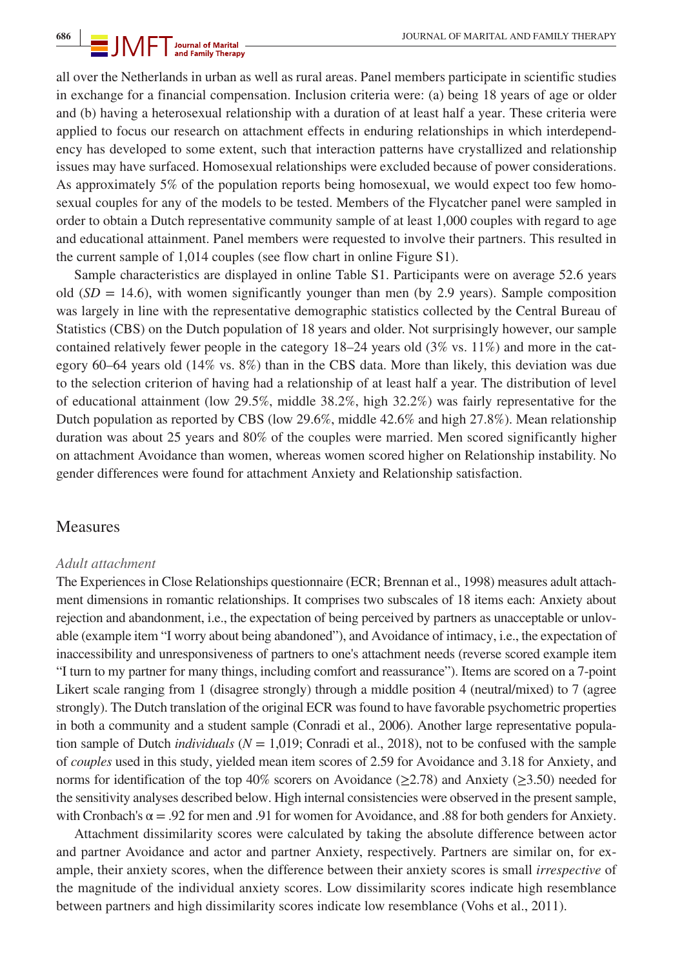all over the Netherlands in urban as well as rural areas. Panel members participate in scientific studies in exchange for a financial compensation. Inclusion criteria were: (a) being 18 years of age or older and (b) having a heterosexual relationship with a duration of at least half a year. These criteria were applied to focus our research on attachment effects in enduring relationships in which interdependency has developed to some extent, such that interaction patterns have crystallized and relationship issues may have surfaced. Homosexual relationships were excluded because of power considerations. As approximately 5% of the population reports being homosexual, we would expect too few homosexual couples for any of the models to be tested. Members of the Flycatcher panel were sampled in order to obtain a Dutch representative community sample of at least 1,000 couples with regard to age and educational attainment. Panel members were requested to involve their partners. This resulted in the current sample of 1,014 couples (see flow chart in online Figure S1).

Sample characteristics are displayed in online Table S1. Participants were on average 52.6 years old  $(SD = 14.6)$ , with women significantly younger than men (by 2.9 years). Sample composition was largely in line with the representative demographic statistics collected by the Central Bureau of Statistics (CBS) on the Dutch population of 18 years and older. Not surprisingly however, our sample contained relatively fewer people in the category  $18-24$  years old  $(3\% \text{ vs. } 11\%)$  and more in the category 60–64 years old (14% vs. 8%) than in the CBS data. More than likely, this deviation was due to the selection criterion of having had a relationship of at least half a year. The distribution of level of educational attainment (low 29.5%, middle 38.2%, high 32.2%) was fairly representative for the Dutch population as reported by CBS (low 29.6%, middle 42.6% and high 27.8%). Mean relationship duration was about 25 years and 80% of the couples were married. Men scored significantly higher on attachment Avoidance than women, whereas women scored higher on Relationship instability. No gender differences were found for attachment Anxiety and Relationship satisfaction.

#### Measures

#### *Adult attachment*

The Experiences in Close Relationships questionnaire (ECR; Brennan et al., 1998) measures adult attachment dimensions in romantic relationships. It comprises two subscales of 18 items each: Anxiety about rejection and abandonment, i.e., the expectation of being perceived by partners as unacceptable or unlovable (example item "I worry about being abandoned"), and Avoidance of intimacy, i.e., the expectation of inaccessibility and unresponsiveness of partners to one's attachment needs (reverse scored example item "I turn to my partner for many things, including comfort and reassurance"). Items are scored on a 7-point Likert scale ranging from 1 (disagree strongly) through a middle position 4 (neutral/mixed) to 7 (agree strongly). The Dutch translation of the original ECR was found to have favorable psychometric properties in both a community and a student sample (Conradi et al., 2006). Another large representative population sample of Dutch *individuals* (*N* = 1,019; Conradi et al., 2018), not to be confused with the sample of *couples* used in this study, yielded mean item scores of 2.59 for Avoidance and 3.18 for Anxiety, and norms for identification of the top 40% scorers on Avoidance ( $\geq$ 2.78) and Anxiety ( $\geq$ 3.50) needed for the sensitivity analyses described below. High internal consistencies were observed in the present sample, with Cronbach's  $\alpha = .92$  for men and .91 for women for Avoidance, and .88 for both genders for Anxiety.

Attachment dissimilarity scores were calculated by taking the absolute difference between actor and partner Avoidance and actor and partner Anxiety, respectively. Partners are similar on, for example, their anxiety scores, when the difference between their anxiety scores is small *irrespective* of the magnitude of the individual anxiety scores. Low dissimilarity scores indicate high resemblance between partners and high dissimilarity scores indicate low resemblance (Vohs et al., 2011).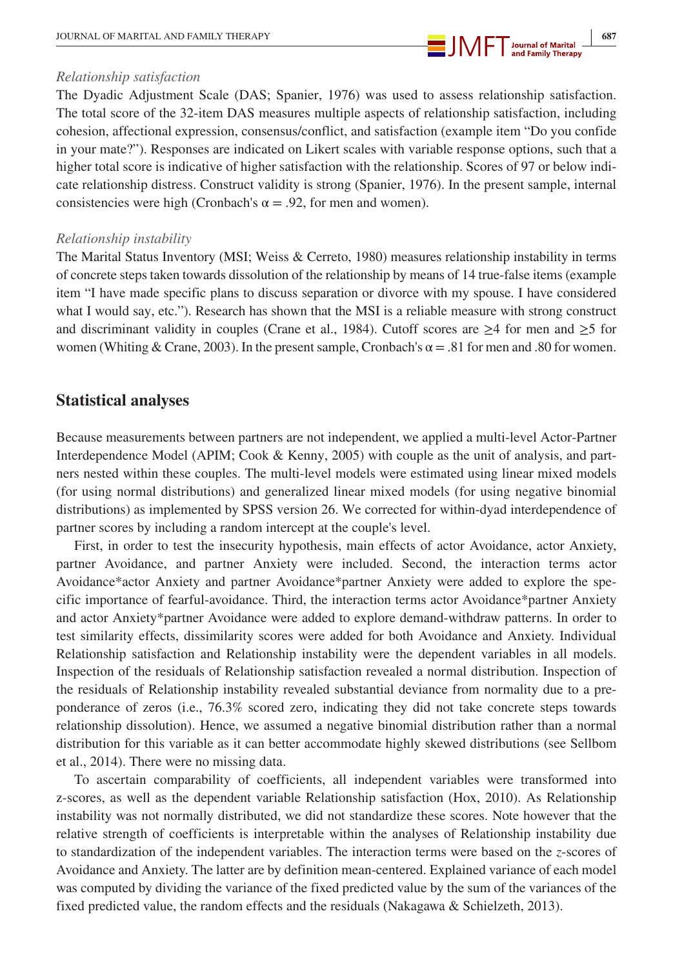

#### *Relationship satisfaction*

The Dyadic Adjustment Scale (DAS; Spanier, 1976) was used to assess relationship satisfaction. The total score of the 32-item DAS measures multiple aspects of relationship satisfaction, including cohesion, affectional expression, consensus/conflict, and satisfaction (example item "Do you confide in your mate?"). Responses are indicated on Likert scales with variable response options, such that a higher total score is indicative of higher satisfaction with the relationship. Scores of 97 or below indicate relationship distress. Construct validity is strong (Spanier, 1976). In the present sample, internal consistencies were high (Cronbach's  $\alpha = .92$ , for men and women).

#### *Relationship instability*

The Marital Status Inventory (MSI; Weiss & Cerreto, 1980) measures relationship instability in terms of concrete steps taken towards dissolution of the relationship by means of 14 true-false items (example item "I have made specific plans to discuss separation or divorce with my spouse. I have considered what I would say, etc."). Research has shown that the MSI is a reliable measure with strong construct and discriminant validity in couples (Crane et al., 1984). Cutoff scores are  $\geq 4$  for men and  $\geq 5$  for women (Whiting & Crane, 2003). In the present sample, Cronbach's  $\alpha = .81$  for men and .80 for women.

## **Statistical analyses**

Because measurements between partners are not independent, we applied a multi-level Actor-Partner Interdependence Model (APIM; Cook & Kenny, 2005) with couple as the unit of analysis, and partners nested within these couples. The multi-level models were estimated using linear mixed models (for using normal distributions) and generalized linear mixed models (for using negative binomial distributions) as implemented by SPSS version 26. We corrected for within-dyad interdependence of partner scores by including a random intercept at the couple's level.

First, in order to test the insecurity hypothesis, main effects of actor Avoidance, actor Anxiety, partner Avoidance, and partner Anxiety were included. Second, the interaction terms actor Avoidance\*actor Anxiety and partner Avoidance\*partner Anxiety were added to explore the specific importance of fearful-avoidance. Third, the interaction terms actor Avoidance\*partner Anxiety and actor Anxiety\*partner Avoidance were added to explore demand-withdraw patterns. In order to test similarity effects, dissimilarity scores were added for both Avoidance and Anxiety. Individual Relationship satisfaction and Relationship instability were the dependent variables in all models. Inspection of the residuals of Relationship satisfaction revealed a normal distribution. Inspection of the residuals of Relationship instability revealed substantial deviance from normality due to a preponderance of zeros (i.e., 76.3% scored zero, indicating they did not take concrete steps towards relationship dissolution). Hence, we assumed a negative binomial distribution rather than a normal distribution for this variable as it can better accommodate highly skewed distributions (see Sellbom et al., 2014). There were no missing data.

To ascertain comparability of coefficients, all independent variables were transformed into z-scores, as well as the dependent variable Relationship satisfaction (Hox, 2010). As Relationship instability was not normally distributed, we did not standardize these scores. Note however that the relative strength of coefficients is interpretable within the analyses of Relationship instability due to standardization of the independent variables. The interaction terms were based on the *z*-scores of Avoidance and Anxiety. The latter are by definition mean-centered. Explained variance of each model was computed by dividing the variance of the fixed predicted value by the sum of the variances of the fixed predicted value, the random effects and the residuals (Nakagawa & Schielzeth, 2013).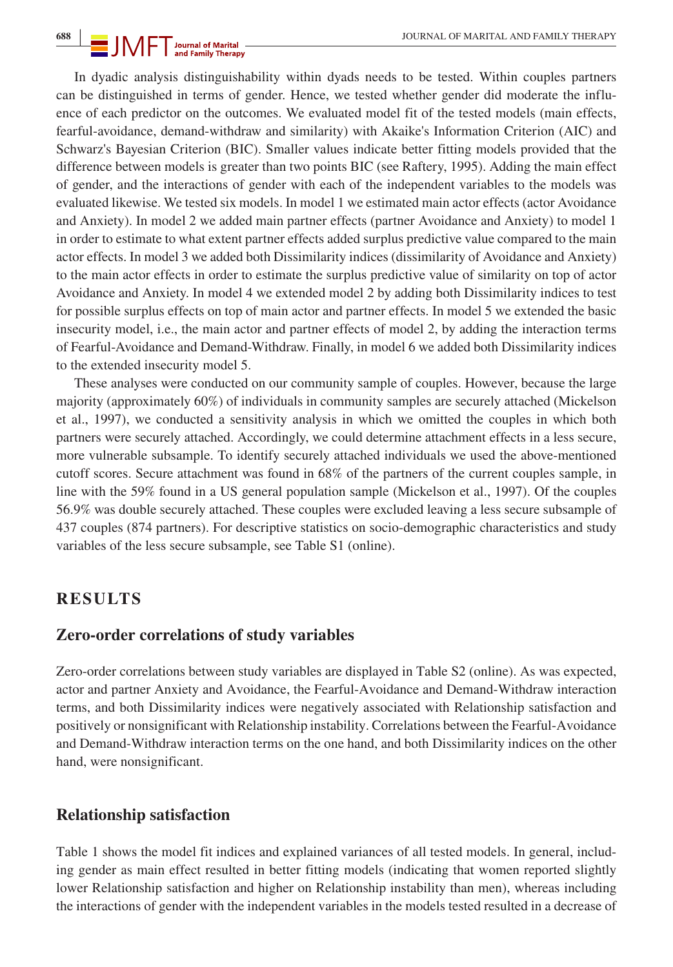In dyadic analysis distinguishability within dyads needs to be tested. Within couples partners can be distinguished in terms of gender. Hence, we tested whether gender did moderate the influence of each predictor on the outcomes. We evaluated model fit of the tested models (main effects, fearful-avoidance, demand-withdraw and similarity) with Akaike's Information Criterion (AIC) and Schwarz's Bayesian Criterion (BIC). Smaller values indicate better fitting models provided that the difference between models is greater than two points BIC (see Raftery, 1995). Adding the main effect of gender, and the interactions of gender with each of the independent variables to the models was evaluated likewise. We tested six models. In model 1 we estimated main actor effects (actor Avoidance and Anxiety). In model 2 we added main partner effects (partner Avoidance and Anxiety) to model 1 in order to estimate to what extent partner effects added surplus predictive value compared to the main actor effects. In model 3 we added both Dissimilarity indices (dissimilarity of Avoidance and Anxiety) to the main actor effects in order to estimate the surplus predictive value of similarity on top of actor Avoidance and Anxiety. In model 4 we extended model 2 by adding both Dissimilarity indices to test for possible surplus effects on top of main actor and partner effects. In model 5 we extended the basic insecurity model, i.e., the main actor and partner effects of model 2, by adding the interaction terms of Fearful-Avoidance and Demand-Withdraw. Finally, in model 6 we added both Dissimilarity indices to the extended insecurity model 5.

These analyses were conducted on our community sample of couples. However, because the large majority (approximately 60%) of individuals in community samples are securely attached (Mickelson et al., 1997), we conducted a sensitivity analysis in which we omitted the couples in which both partners were securely attached. Accordingly, we could determine attachment effects in a less secure, more vulnerable subsample. To identify securely attached individuals we used the above-mentioned cutoff scores. Secure attachment was found in 68% of the partners of the current couples sample, in line with the 59% found in a US general population sample (Mickelson et al., 1997). Of the couples 56.9% was double securely attached. These couples were excluded leaving a less secure subsample of 437 couples (874 partners). For descriptive statistics on socio-demographic characteristics and study variables of the less secure subsample, see Table S1 (online).

## **RESULTS**

#### **Zero-order correlations of study variables**

Zero-order correlations between study variables are displayed in Table S2 (online). As was expected, actor and partner Anxiety and Avoidance, the Fearful-Avoidance and Demand-Withdraw interaction terms, and both Dissimilarity indices were negatively associated with Relationship satisfaction and positively or nonsignificant with Relationship instability. Correlations between the Fearful-Avoidance and Demand-Withdraw interaction terms on the one hand, and both Dissimilarity indices on the other hand, were nonsignificant.

#### **Relationship satisfaction**

Table 1 shows the model fit indices and explained variances of all tested models. In general, including gender as main effect resulted in better fitting models (indicating that women reported slightly lower Relationship satisfaction and higher on Relationship instability than men), whereas including the interactions of gender with the independent variables in the models tested resulted in a decrease of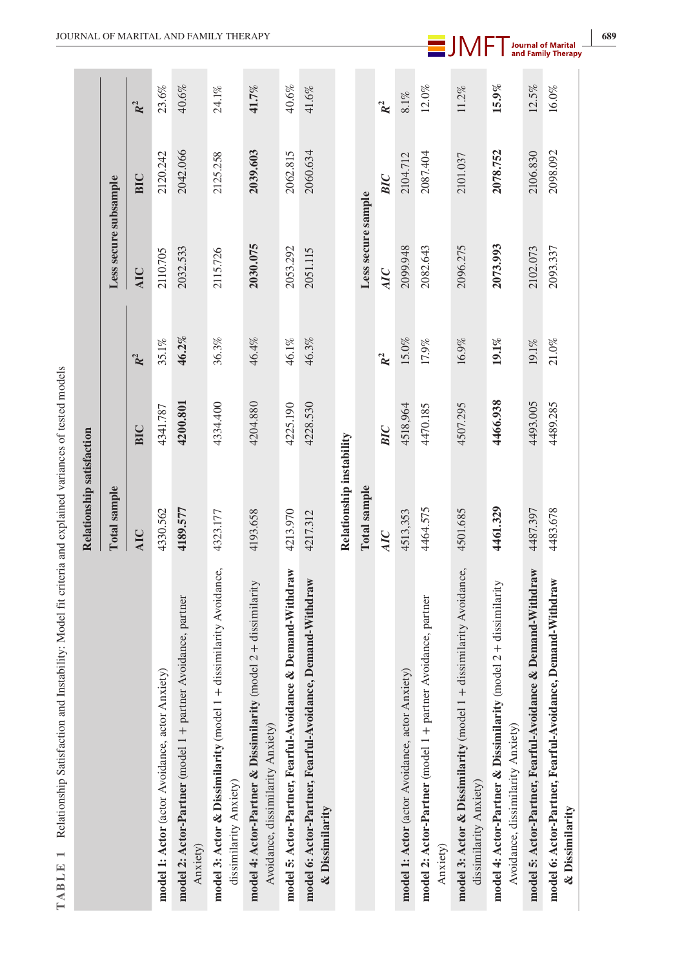| TABLE 1 Relationship Satisfaction and Instability: Model fit criteria and explained variances of tested models |                           |            |                |                       |            |                |
|----------------------------------------------------------------------------------------------------------------|---------------------------|------------|----------------|-----------------------|------------|----------------|
|                                                                                                                | Relationship satisfaction |            |                |                       |            |                |
|                                                                                                                | <b>Total</b> sample       |            |                | Less secure subsample |            |                |
|                                                                                                                | <b>AIC</b>                | <b>BIC</b> | $\mathbb{R}^2$ | <b>AIC</b>            | <b>BIC</b> | R <sup>2</sup> |
| model 1: Actor (actor Avoidance, actor Anxiety)                                                                | 4330.562                  | 4341.787   | 35.1%          | 2110.705              | 2120.242   | 23.6%          |
| model 2: Actor-Partner (model 1 + partner Avoidance, partner<br>Anxiety)                                       | 4189.577                  | 4200.801   | 46.2%          | 2032.533              | 2042.066   | 40.6%          |
| dissimilarity Avoidance,<br>model 3: Actor & Dissimilarity (model 1+<br>dissimilarity Anxiety)                 | 4323.177                  | 4334.400   | 36.3%          | 2115.726              | 2125.258   | 24.1%          |
| model 4: Actor-Partner & Dissimilarity (model $2 +$ dissimilarity<br>Avoidance, dissimilarity Anxiety)         | 4193.658                  | 4204.880   | 46.4%          | 2030.075              | 2039.603   | 41.7%          |
| model 5: Actor-Partner, Fearful-Avoidance & Demand-Withdraw                                                    | 4213.970                  | 4225.190   | 46.1%          | 2053.292              | 2062.815   | $40.6\%$       |
| model 6: Actor-Partner, Fearful-Avoidance, Demand-Withdraw<br>& Dissimilarity                                  | 4217.312                  | 4228.530   | 46.3%          | 2051.115              | 2060.634   | 41.6%          |
|                                                                                                                | Relationship instability  |            |                |                       |            |                |
|                                                                                                                | Total sample              |            |                | Less secure sample    |            |                |
|                                                                                                                | AIC                       | BIC        | $R^2$          | AIC                   | BIC        | $R^2$          |
| model 1: Actor (actor Avoidance, actor Anxiety)                                                                | 4513,353                  | 4518,964   | 15.0%          | 2099.948              | 2104.712   | $8.1\%$        |
| model 2: Actor-Partner (model 1 + partner Avoidance, partner<br>Anxiety)                                       | 4464.575                  | 4470.185   | $17.9\%$       | 2082.643              | 2087.404   | $12.0\%$       |
| model 3: Actor & Dissimilarity (model 1 + dissimilarity Avoidance,<br>dissimilarity Anxiety)                   | 4501.685                  | 4507.295   | $16.9\%$       | 2096.275              | 2101.037   | $11.2\%$       |
| model 4: Actor-Partner & Dissimilarity (model $2 +$ dissimilarity<br>Avoidance, dissimilarity Anxiety)         | 4461.329                  | 4466.938   | 19.1%          | 2073.993              | 2078.752   | $15.9\%$       |
| model 5: Actor-Partner, Fearful-Avoidance & Demand-Withdraw                                                    | 4487.397                  | 4493.005   | 19.1%          | 2102.073              | 2106.830   | 12.5%          |
| model 6: Actor-Partner, Fearful-Avoidance, Demand-Withdraw<br>& Dissimilarity                                  | 4483.678                  | 4489.285   | $21.0\%$       | 2093.337              | 2098.092   | $16.0\%$       |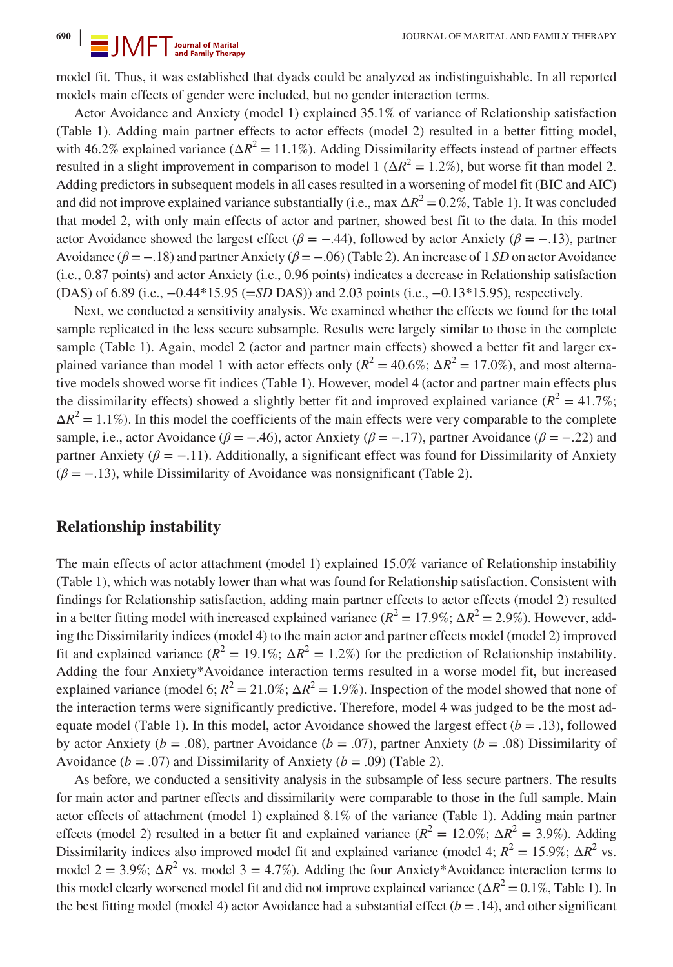model fit. Thus, it was established that dyads could be analyzed as indistinguishable. In all reported models main effects of gender were included, but no gender interaction terms.

Actor Avoidance and Anxiety (model 1) explained 35.1% of variance of Relationship satisfaction (Table 1). Adding main partner effects to actor effects (model 2) resulted in a better fitting model, with 46.2% explained variance ( $\Delta R^2 = 11.1\%$ ). Adding Dissimilarity effects instead of partner effects resulted in a slight improvement in comparison to model 1 ( $\Delta R^2 = 1.2\%$ ), but worse fit than model 2. Adding predictors in subsequent models in all cases resulted in a worsening of model fit (BIC and AIC) and did not improve explained variance substantially (i.e., max  $\Delta R^2 = 0.2\%$ , Table 1). It was concluded that model 2, with only main effects of actor and partner, showed best fit to the data. In this model actor Avoidance showed the largest effect ( $\beta = -.44$ ), followed by actor Anxiety ( $\beta = -.13$ ), partner Avoidance (*β* = −.18) and partner Anxiety (*β* = −.06) (Table 2). An increase of 1 *SD* on actor Avoidance (i.e., 0.87 points) and actor Anxiety (i.e., 0.96 points) indicates a decrease in Relationship satisfaction (DAS) of 6.89 (i.e., −0.44\*15.95 (=*SD* DAS)) and 2.03 points (i.e., −0.13\*15.95), respectively.

Next, we conducted a sensitivity analysis. We examined whether the effects we found for the total sample replicated in the less secure subsample. Results were largely similar to those in the complete sample (Table 1). Again, model 2 (actor and partner main effects) showed a better fit and larger explained variance than model 1 with actor effects only  $(R^2 = 40.6\%; \Delta R^2 = 17.0\%)$ , and most alternative models showed worse fit indices (Table 1). However, model 4 (actor and partner main effects plus the dissimilarity effects) showed a slightly better fit and improved explained variance  $(R^2 = 41.7\%;$  $\Delta R^2 = 1.1\%$ ). In this model the coefficients of the main effects were very comparable to the complete sample, i.e., actor Avoidance ( $\beta = -.46$ ), actor Anxiety ( $\beta = -.17$ ), partner Avoidance ( $\beta = -.22$ ) and partner Anxiety ( $\beta = -11$ ). Additionally, a significant effect was found for Dissimilarity of Anxiety  $(\beta = -13)$ , while Dissimilarity of Avoidance was nonsignificant (Table 2).

#### **Relationship instability**

The main effects of actor attachment (model 1) explained 15.0% variance of Relationship instability (Table 1), which was notably lower than what was found for Relationship satisfaction. Consistent with findings for Relationship satisfaction, adding main partner effects to actor effects (model 2) resulted in a better fitting model with increased explained variance  $(R^2 = 17.9\%; \Delta R^2 = 2.9\%)$ . However, adding the Dissimilarity indices (model 4) to the main actor and partner effects model (model 2) improved fit and explained variance  $(R^2 = 19.1\%; \Delta R^2 = 1.2\%)$  for the prediction of Relationship instability. Adding the four Anxiety\*Avoidance interaction terms resulted in a worse model fit, but increased explained variance (model 6;  $R^2 = 21.0\%$ ;  $\Delta R^2 = 1.9\%$ ). Inspection of the model showed that none of the interaction terms were significantly predictive. Therefore, model 4 was judged to be the most adequate model (Table 1). In this model, actor Avoidance showed the largest effect  $(b = .13)$ , followed by actor Anxiety ( $b = .08$ ), partner Avoidance ( $b = .07$ ), partner Anxiety ( $b = .08$ ) Dissimilarity of Avoidance ( $b = .07$ ) and Dissimilarity of Anxiety ( $b = .09$ ) (Table 2).

As before, we conducted a sensitivity analysis in the subsample of less secure partners. The results for main actor and partner effects and dissimilarity were comparable to those in the full sample. Main actor effects of attachment (model 1) explained 8.1% of the variance (Table 1). Adding main partner effects (model 2) resulted in a better fit and explained variance ( $R^2 = 12.0\%$ ;  $\Delta R^2 = 3.9\%$ ). Adding Dissimilarity indices also improved model fit and explained variance (model 4;  $R^2 = 15.9\%$ ;  $\Delta R^2$  vs. model  $2 = 3.9\%$ ;  $\Delta R^2$  vs. model  $3 = 4.7\%$ ). Adding the four Anxiety\*Avoidance interaction terms to this model clearly worsened model fit and did not improve explained variance ( $\Delta R^2 = 0.1\%$ , Table 1). In the best fitting model (model 4) actor Avoidance had a substantial effect  $(b = .14)$ , and other significant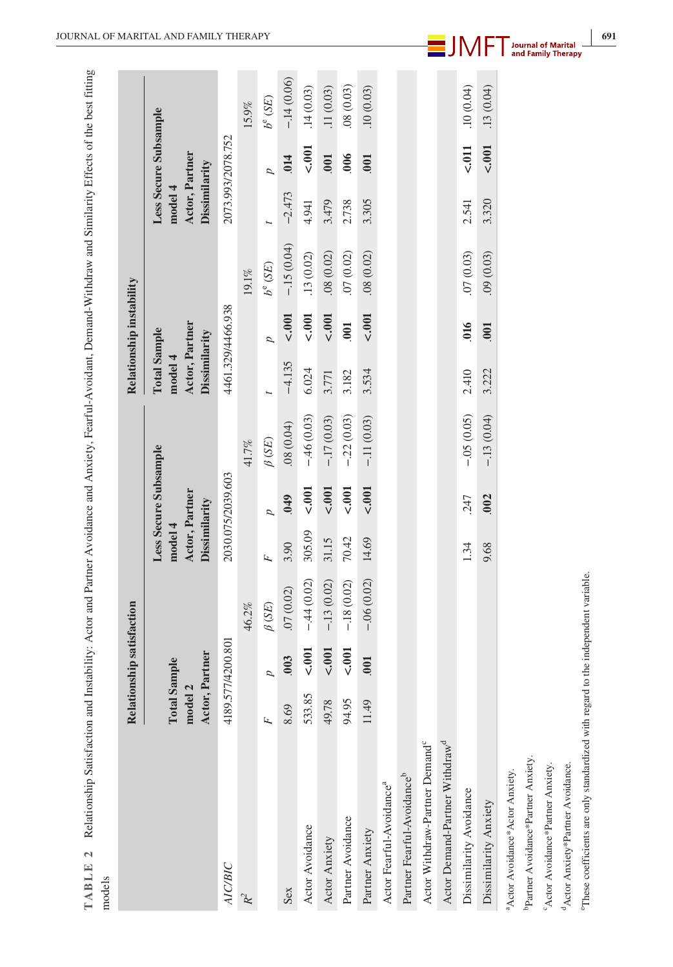|                                                                   |                                                                         | Relationship satisfaction |                              |                                            |                       |              |                                                                   | Relationship instability |             |                                            |                       |                                    |
|-------------------------------------------------------------------|-------------------------------------------------------------------------|---------------------------|------------------------------|--------------------------------------------|-----------------------|--------------|-------------------------------------------------------------------|--------------------------|-------------|--------------------------------------------|-----------------------|------------------------------------|
|                                                                   | Actor, Partner<br><b>Total Sample</b><br>$\mathbf{\mathbf{a}}$<br>model |                           |                              | Actor, Partner<br>Dissimilarity<br>model 4 | Less Secure Subsample |              | Actor, Partner<br><b>Total Sample</b><br>Dissimilarity<br>model 4 |                          |             | Actor, Partner<br>Dissimilarity<br>model 4 | Less Secure Subsample |                                    |
| <b>AIC/BIC</b>                                                    |                                                                         | 4189.577/4200.801         |                              |                                            | 2030.075/2039.603     |              |                                                                   | 4461.329/4466.938        |             |                                            | 2073.993/2078.752     |                                    |
| $R^2$                                                             |                                                                         |                           | 46.2%                        |                                            |                       | 41.7%        |                                                                   |                          | 19.1%       |                                            |                       | 15.9%                              |
|                                                                   | Ŀ,                                                                      | d                         | $\beta$ (SE)                 | F                                          | d                     | $\beta$ (SE) |                                                                   | d                        | $b^e$ (SE)  |                                            | Þ                     | $b^{\rm e}\left( \text{SE}\right)$ |
| Sex                                                               | 8.69                                                                    | .003                      | .07(0.02)                    | 3.90                                       | .049                  | (40.018)     | $-4.135$                                                          | 5.001                    | $-15(0.04)$ | $-2.473$                                   | .014                  | $-.14(0.06)$                       |
| Actor Avoidance                                                   | 533.85                                                                  | 5.001                     | $-44(0.02)$                  | 305.09                                     | 5.001                 | $-.46(0.03)$ | 6.024                                                             | 5.001                    | .13(0.02)   | 4.941                                      | $500 - 2001$          | .14(0.03)                          |
| Actor Anxiety                                                     | 49.78                                                                   | 5.001                     | $-.13(0.02)$                 | 31.15                                      | 5.001                 | $-17(0.03)$  | 3.771                                                             | 5.001                    | .08(0.02)   | 3.479                                      | 001                   | .11(0.03)                          |
| Partner Avoidance                                                 | 94.95                                                                   | 5.001                     | $-.18(0.02)$                 | 70.42                                      | 5.001                 | $-22(0.03)$  | 3.182                                                             | $\overline{001}$         | .07(0.02)   | 2.738                                      | .006                  | .08(0.03)                          |
| Partner Anxiety                                                   | 11.49                                                                   | .001                      | $-.06(0.02)$                 | 14.69                                      | 5.001                 | $-.11(0.03)$ | 3.534                                                             | 5.001                    | .08(0.02)   | 3.305                                      | .001                  | .10(0.03)                          |
| Actor Fearful-Avoidance <sup>a</sup>                              |                                                                         |                           |                              |                                            |                       |              |                                                                   |                          |             |                                            |                       |                                    |
| Partner Fearful-Avoidance <sup>b</sup>                            |                                                                         |                           |                              |                                            |                       |              |                                                                   |                          |             |                                            |                       |                                    |
| Actor Withdraw-Partner Demand <sup>c</sup>                        |                                                                         |                           |                              |                                            |                       |              |                                                                   |                          |             |                                            |                       |                                    |
| Actor Demand-Partner Withdraw <sup>d</sup>                        |                                                                         |                           |                              |                                            |                       |              |                                                                   |                          |             |                                            |                       |                                    |
| Dissimilarity Avoidance                                           |                                                                         |                           |                              | 1.34                                       | .247                  | $-.05(0.05)$ | 2.410                                                             | 016                      | .07(0.03)   | 2.541                                      | $\leq 0.011$          | .10(0.04)                          |
| Dissimilarity Anxiety                                             |                                                                         |                           |                              | 9.68                                       | .002                  | $-13(0.04)$  | 3.222                                                             | 001                      | .09(0.03)   | 3.320                                      | 5.001                 | .13(0.04)                          |
| <sup>a</sup> Actor Avoidance*Actor Anxiety.                       |                                                                         |                           |                              |                                            |                       |              |                                                                   |                          |             |                                            |                       |                                    |
| Partner Avoidance*Partner Anxiety.                                |                                                                         |                           |                              |                                            |                       |              |                                                                   |                          |             |                                            |                       |                                    |
| Actor Avoidance*Partner Anxiety.                                  |                                                                         |                           |                              |                                            |                       |              |                                                                   |                          |             |                                            |                       |                                    |
| <sup>d</sup> Actor Anxiety*Partner Avoidance.                     |                                                                         |                           |                              |                                            |                       |              |                                                                   |                          |             |                                            |                       |                                    |
| <sup>e</sup> These coefficients are only standardized with regard |                                                                         |                           | to the independent variable. |                                            |                       |              |                                                                   |                          |             |                                            |                       |                                    |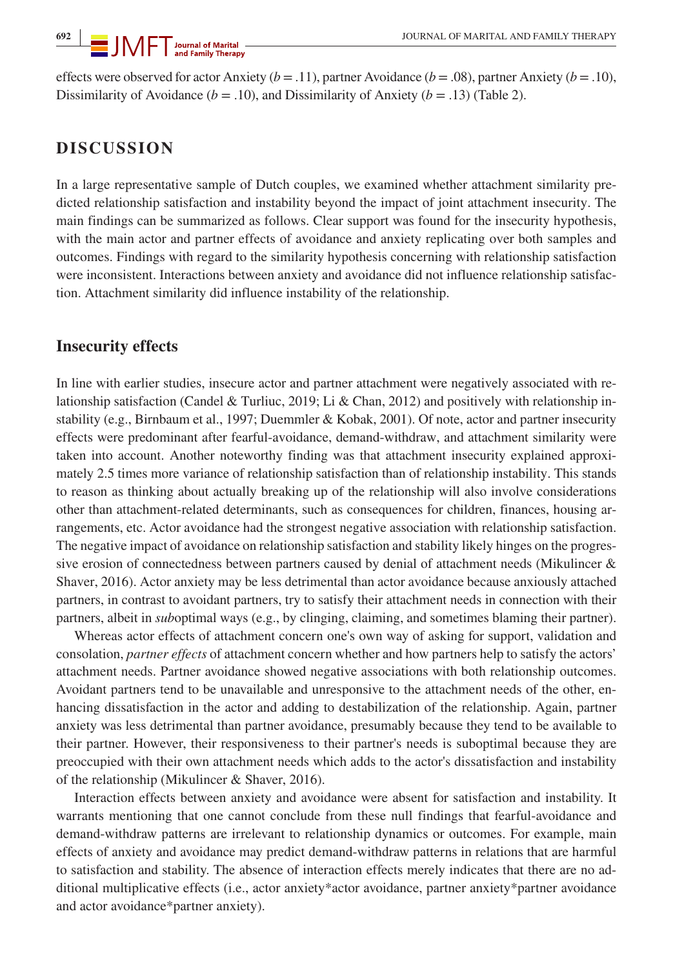effects were observed for actor Anxiety (*b* = .11), partner Avoidance (*b* = .08), partner Anxiety (*b* = .10), Dissimilarity of Avoidance ( $b = .10$ ), and Dissimilarity of Anxiety ( $b = .13$ ) (Table 2).

## **DISCUSSION**

In a large representative sample of Dutch couples, we examined whether attachment similarity predicted relationship satisfaction and instability beyond the impact of joint attachment insecurity. The main findings can be summarized as follows. Clear support was found for the insecurity hypothesis, with the main actor and partner effects of avoidance and anxiety replicating over both samples and outcomes. Findings with regard to the similarity hypothesis concerning with relationship satisfaction were inconsistent. Interactions between anxiety and avoidance did not influence relationship satisfaction. Attachment similarity did influence instability of the relationship.

#### **Insecurity effects**

In line with earlier studies, insecure actor and partner attachment were negatively associated with relationship satisfaction (Candel & Turliuc, 2019; Li & Chan, 2012) and positively with relationship instability (e.g., Birnbaum et al., 1997; Duemmler & Kobak, 2001). Of note, actor and partner insecurity effects were predominant after fearful-avoidance, demand-withdraw, and attachment similarity were taken into account. Another noteworthy finding was that attachment insecurity explained approximately 2.5 times more variance of relationship satisfaction than of relationship instability. This stands to reason as thinking about actually breaking up of the relationship will also involve considerations other than attachment-related determinants, such as consequences for children, finances, housing arrangements, etc. Actor avoidance had the strongest negative association with relationship satisfaction. The negative impact of avoidance on relationship satisfaction and stability likely hinges on the progressive erosion of connectedness between partners caused by denial of attachment needs (Mikulincer & Shaver, 2016). Actor anxiety may be less detrimental than actor avoidance because anxiously attached partners, in contrast to avoidant partners, try to satisfy their attachment needs in connection with their partners, albeit in *sub*optimal ways (e.g., by clinging, claiming, and sometimes blaming their partner).

Whereas actor effects of attachment concern one's own way of asking for support, validation and consolation, *partner effects* of attachment concern whether and how partners help to satisfy the actors' attachment needs. Partner avoidance showed negative associations with both relationship outcomes. Avoidant partners tend to be unavailable and unresponsive to the attachment needs of the other, enhancing dissatisfaction in the actor and adding to destabilization of the relationship. Again, partner anxiety was less detrimental than partner avoidance, presumably because they tend to be available to their partner. However, their responsiveness to their partner's needs is suboptimal because they are preoccupied with their own attachment needs which adds to the actor's dissatisfaction and instability of the relationship (Mikulincer & Shaver, 2016).

Interaction effects between anxiety and avoidance were absent for satisfaction and instability. It warrants mentioning that one cannot conclude from these null findings that fearful-avoidance and demand-withdraw patterns are irrelevant to relationship dynamics or outcomes. For example, main effects of anxiety and avoidance may predict demand-withdraw patterns in relations that are harmful to satisfaction and stability. The absence of interaction effects merely indicates that there are no additional multiplicative effects (i.e., actor anxiety\*actor avoidance, partner anxiety\*partner avoidance and actor avoidance\*partner anxiety).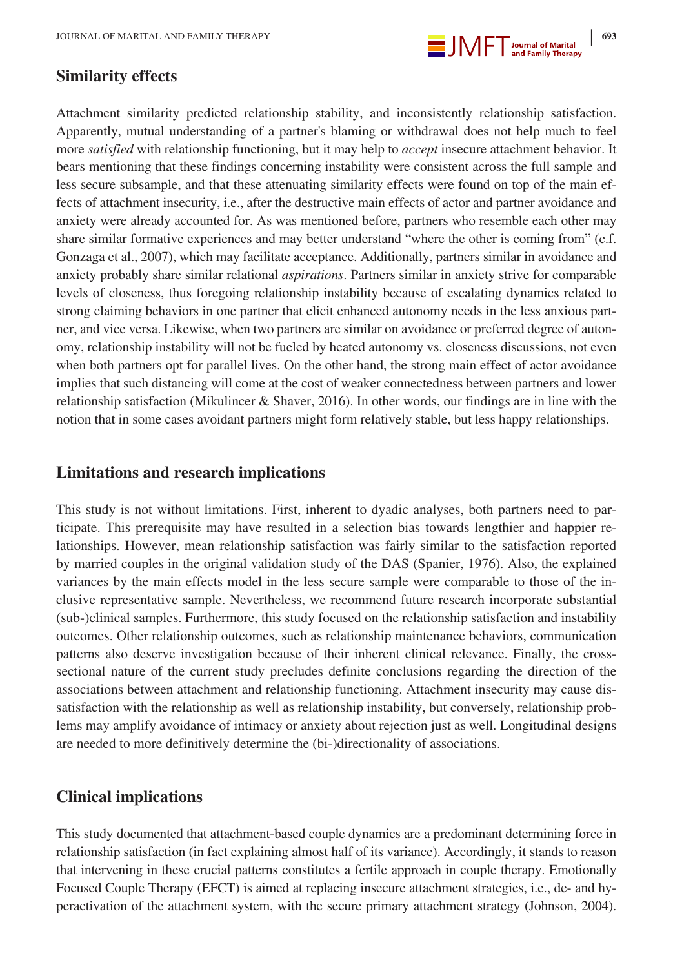

## **Similarity effects**

Attachment similarity predicted relationship stability, and inconsistently relationship satisfaction. Apparently, mutual understanding of a partner's blaming or withdrawal does not help much to feel more *satisfied* with relationship functioning, but it may help to *accept* insecure attachment behavior. It bears mentioning that these findings concerning instability were consistent across the full sample and less secure subsample, and that these attenuating similarity effects were found on top of the main effects of attachment insecurity, i.e., after the destructive main effects of actor and partner avoidance and anxiety were already accounted for. As was mentioned before, partners who resemble each other may share similar formative experiences and may better understand "where the other is coming from" (c.f. Gonzaga et al., 2007), which may facilitate acceptance. Additionally, partners similar in avoidance and anxiety probably share similar relational *aspirations*. Partners similar in anxiety strive for comparable levels of closeness, thus foregoing relationship instability because of escalating dynamics related to strong claiming behaviors in one partner that elicit enhanced autonomy needs in the less anxious partner, and vice versa. Likewise, when two partners are similar on avoidance or preferred degree of autonomy, relationship instability will not be fueled by heated autonomy vs. closeness discussions, not even when both partners opt for parallel lives. On the other hand, the strong main effect of actor avoidance implies that such distancing will come at the cost of weaker connectedness between partners and lower relationship satisfaction (Mikulincer & Shaver, 2016). In other words, our findings are in line with the notion that in some cases avoidant partners might form relatively stable, but less happy relationships.

## **Limitations and research implications**

This study is not without limitations. First, inherent to dyadic analyses, both partners need to participate. This prerequisite may have resulted in a selection bias towards lengthier and happier relationships. However, mean relationship satisfaction was fairly similar to the satisfaction reported by married couples in the original validation study of the DAS (Spanier, 1976). Also, the explained variances by the main effects model in the less secure sample were comparable to those of the inclusive representative sample. Nevertheless, we recommend future research incorporate substantial (sub-)clinical samples. Furthermore, this study focused on the relationship satisfaction and instability outcomes. Other relationship outcomes, such as relationship maintenance behaviors, communication patterns also deserve investigation because of their inherent clinical relevance. Finally, the crosssectional nature of the current study precludes definite conclusions regarding the direction of the associations between attachment and relationship functioning. Attachment insecurity may cause dissatisfaction with the relationship as well as relationship instability, but conversely, relationship problems may amplify avoidance of intimacy or anxiety about rejection just as well. Longitudinal designs are needed to more definitively determine the (bi-)directionality of associations.

## **Clinical implications**

This study documented that attachment-based couple dynamics are a predominant determining force in relationship satisfaction (in fact explaining almost half of its variance). Accordingly, it stands to reason that intervening in these crucial patterns constitutes a fertile approach in couple therapy. Emotionally Focused Couple Therapy (EFCT) is aimed at replacing insecure attachment strategies, i.e., de- and hyperactivation of the attachment system, with the secure primary attachment strategy (Johnson, 2004).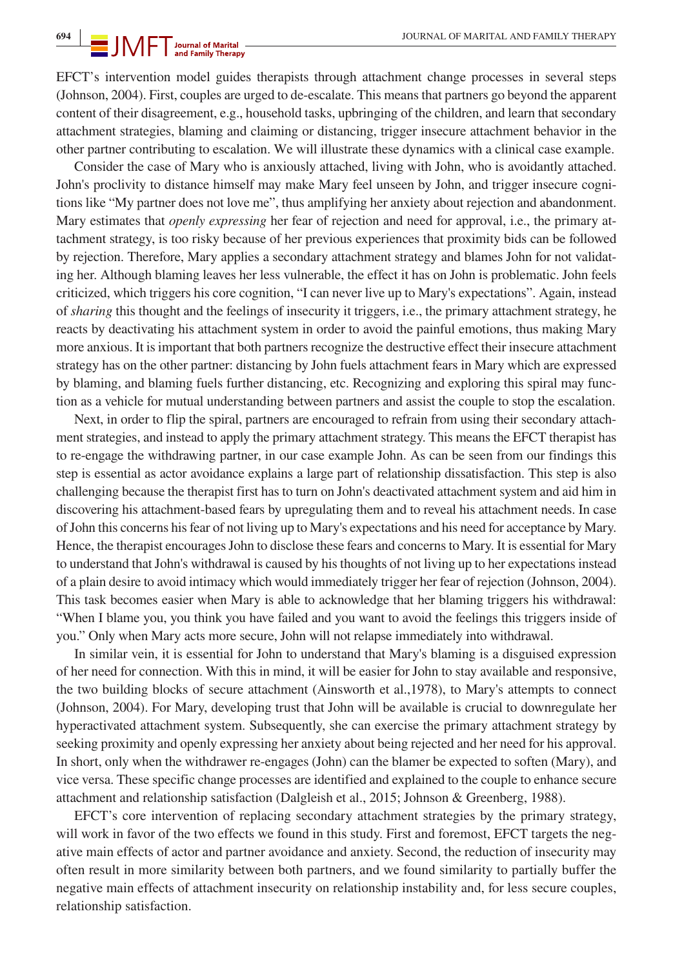EFCT's intervention model guides therapists through attachment change processes in several steps (Johnson, 2004). First, couples are urged to de-escalate. This means that partners go beyond the apparent content of their disagreement, e.g., household tasks, upbringing of the children, and learn that secondary attachment strategies, blaming and claiming or distancing, trigger insecure attachment behavior in the other partner contributing to escalation. We will illustrate these dynamics with a clinical case example.

Consider the case of Mary who is anxiously attached, living with John, who is avoidantly attached. John's proclivity to distance himself may make Mary feel unseen by John, and trigger insecure cognitions like "My partner does not love me", thus amplifying her anxiety about rejection and abandonment. Mary estimates that *openly expressing* her fear of rejection and need for approval, i.e., the primary attachment strategy, is too risky because of her previous experiences that proximity bids can be followed by rejection. Therefore, Mary applies a secondary attachment strategy and blames John for not validating her. Although blaming leaves her less vulnerable, the effect it has on John is problematic. John feels criticized, which triggers his core cognition, "I can never live up to Mary's expectations". Again, instead of *sharing* this thought and the feelings of insecurity it triggers, i.e., the primary attachment strategy, he reacts by deactivating his attachment system in order to avoid the painful emotions, thus making Mary more anxious. It is important that both partners recognize the destructive effect their insecure attachment strategy has on the other partner: distancing by John fuels attachment fears in Mary which are expressed by blaming, and blaming fuels further distancing, etc. Recognizing and exploring this spiral may function as a vehicle for mutual understanding between partners and assist the couple to stop the escalation.

Next, in order to flip the spiral, partners are encouraged to refrain from using their secondary attachment strategies, and instead to apply the primary attachment strategy. This means the EFCT therapist has to re-engage the withdrawing partner, in our case example John. As can be seen from our findings this step is essential as actor avoidance explains a large part of relationship dissatisfaction. This step is also challenging because the therapist first has to turn on John's deactivated attachment system and aid him in discovering his attachment-based fears by upregulating them and to reveal his attachment needs. In case of John this concerns his fear of not living up to Mary's expectations and his need for acceptance by Mary. Hence, the therapist encourages John to disclose these fears and concerns to Mary. It is essential for Mary to understand that John's withdrawal is caused by his thoughts of not living up to her expectations instead of a plain desire to avoid intimacy which would immediately trigger her fear of rejection (Johnson, 2004). This task becomes easier when Mary is able to acknowledge that her blaming triggers his withdrawal: "When I blame you, you think you have failed and you want to avoid the feelings this triggers inside of you." Only when Mary acts more secure, John will not relapse immediately into withdrawal.

In similar vein, it is essential for John to understand that Mary's blaming is a disguised expression of her need for connection. With this in mind, it will be easier for John to stay available and responsive, the two building blocks of secure attachment (Ainsworth et al.,1978), to Mary's attempts to connect (Johnson, 2004). For Mary, developing trust that John will be available is crucial to downregulate her hyperactivated attachment system. Subsequently, she can exercise the primary attachment strategy by seeking proximity and openly expressing her anxiety about being rejected and her need for his approval. In short, only when the withdrawer re-engages (John) can the blamer be expected to soften (Mary), and vice versa. These specific change processes are identified and explained to the couple to enhance secure attachment and relationship satisfaction (Dalgleish et al., 2015; Johnson & Greenberg, 1988).

EFCT's core intervention of replacing secondary attachment strategies by the primary strategy, will work in favor of the two effects we found in this study. First and foremost, EFCT targets the negative main effects of actor and partner avoidance and anxiety. Second, the reduction of insecurity may often result in more similarity between both partners, and we found similarity to partially buffer the negative main effects of attachment insecurity on relationship instability and, for less secure couples, relationship satisfaction.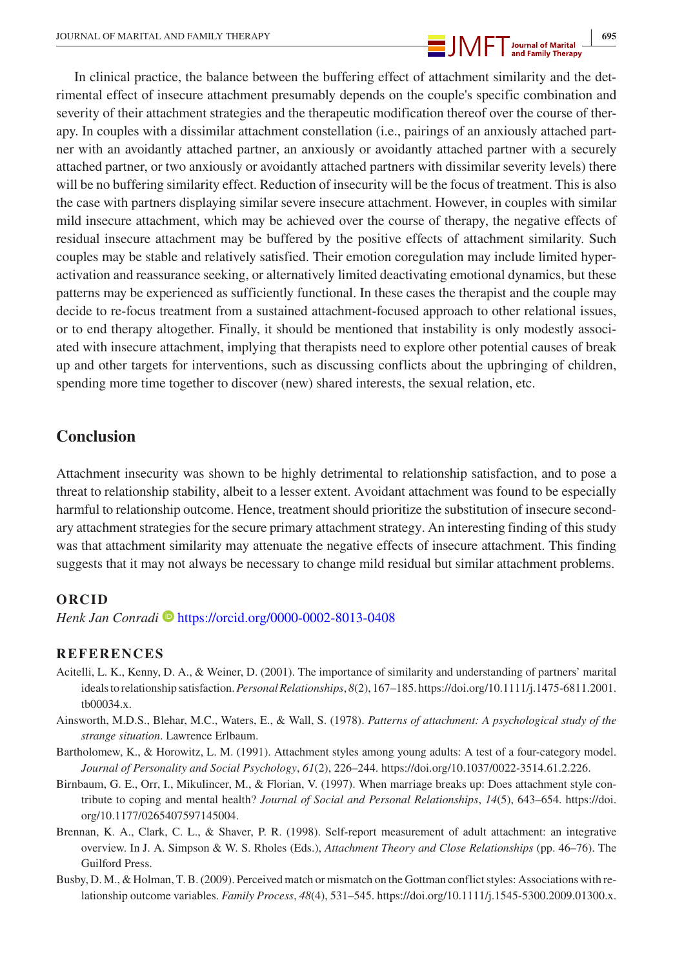

In clinical practice, the balance between the buffering effect of attachment similarity and the detrimental effect of insecure attachment presumably depends on the couple's specific combination and severity of their attachment strategies and the therapeutic modification thereof over the course of therapy. In couples with a dissimilar attachment constellation (i.e., pairings of an anxiously attached partner with an avoidantly attached partner, an anxiously or avoidantly attached partner with a securely attached partner, or two anxiously or avoidantly attached partners with dissimilar severity levels) there will be no buffering similarity effect. Reduction of insecurity will be the focus of treatment. This is also the case with partners displaying similar severe insecure attachment. However, in couples with similar mild insecure attachment, which may be achieved over the course of therapy, the negative effects of residual insecure attachment may be buffered by the positive effects of attachment similarity. Such couples may be stable and relatively satisfied. Their emotion coregulation may include limited hyperactivation and reassurance seeking, or alternatively limited deactivating emotional dynamics, but these patterns may be experienced as sufficiently functional. In these cases the therapist and the couple may decide to re-focus treatment from a sustained attachment-focused approach to other relational issues, or to end therapy altogether. Finally, it should be mentioned that instability is only modestly associated with insecure attachment, implying that therapists need to explore other potential causes of break up and other targets for interventions, such as discussing conflicts about the upbringing of children, spending more time together to discover (new) shared interests, the sexual relation, etc.

## **Conclusion**

Attachment insecurity was shown to be highly detrimental to relationship satisfaction, and to pose a threat to relationship stability, albeit to a lesser extent. Avoidant attachment was found to be especially harmful to relationship outcome. Hence, treatment should prioritize the substitution of insecure secondary attachment strategies for the secure primary attachment strategy. An interesting finding of this study was that attachment similarity may attenuate the negative effects of insecure attachment. This finding suggests that it may not always be necessary to change mild residual but similar attachment problems.

#### **ORCID**

*Henk Jan Conradi* • <https://orcid.org/0000-0002-8013-0408>

#### **REFERENCES**

- Acitelli, L. K., Kenny, D. A., & Weiner, D. (2001). The importance of similarity and understanding of partners' marital ideals to relationship satisfaction. *Personal Relationships*, *8*(2), 167–185. [https://doi.org/10.1111/j.1475-6811.2001.](https://doi.org/10.1111/j.1475-6811.2001.tb00034.x) [tb00034.x.](https://doi.org/10.1111/j.1475-6811.2001.tb00034.x)
- Ainsworth, M.D.S., Blehar, M.C., Waters, E., & Wall, S. (1978). *Patterns of attachment: A psychological study of the strange situation*. Lawrence Erlbaum.
- Bartholomew, K., & Horowitz, L. M. (1991). Attachment styles among young adults: A test of a four-category model. *Journal of Personality and Social Psychology*, *61*(2), 226–244. [https://doi.org/10.1037/0022-3514.61.2.226.](https://doi.org/10.1037/0022-3514.61.2.226)
- Birnbaum, G. E., Orr, I., Mikulincer, M., & Florian, V. (1997). When marriage breaks up: Does attachment style contribute to coping and mental health? *Journal of Social and Personal Relationships*, *14*(5), 643–654. [https://doi.](https://doi.org/10.1177/0265407597145004) [org/10.1177/0265407597145004](https://doi.org/10.1177/0265407597145004).
- Brennan, K. A., Clark, C. L., & Shaver, P. R. (1998). Self-report measurement of adult attachment: an integrative overview. In J. A. Simpson & W. S. Rholes (Eds.), *Attachment Theory and Close Relationships* (pp. 46–76). The Guilford Press.
- Busby, D. M., & Holman, T. B. (2009). Perceived match or mismatch on the Gottman conflict styles: Associations with relationship outcome variables. *Family Process*, *48*(4), 531–545. <https://doi.org/10.1111/j.1545-5300.2009.01300.x>.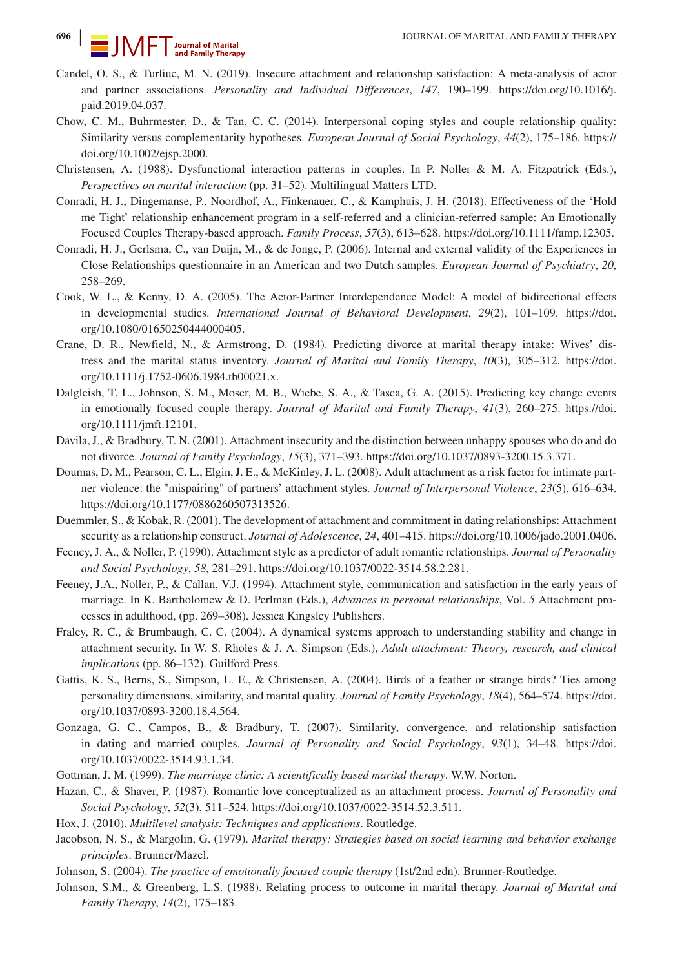- Candel, O. S., & Turliuc, M. N. (2019). Insecure attachment and relationship satisfaction: A meta-analysis of actor and partner associations. *Personality and Individual Differences*, *147*, 190–199. [https://doi.org/10.1016/j.](https://doi.org/10.1016/j.paid.2019.04.037) [paid.2019.04.037.](https://doi.org/10.1016/j.paid.2019.04.037)
- Chow, C. M., Buhrmester, D., & Tan, C. C. (2014). Interpersonal coping styles and couple relationship quality: Similarity versus complementarity hypotheses. *European Journal of Social Psychology*, *44*(2), 175–186. [https://](https://doi.org/10.1002/ejsp.2000) [doi.org/10.1002/ejsp.2000.](https://doi.org/10.1002/ejsp.2000)
- Christensen, A. (1988). Dysfunctional interaction patterns in couples. In P. Noller & M. A. Fitzpatrick (Eds.), *Perspectives on marital interaction* (pp. 31–52). Multilingual Matters LTD.
- Conradi, H. J., Dingemanse, P., Noordhof, A., Finkenauer, C., & Kamphuis, J. H. (2018). Effectiveness of the 'Hold me Tight' relationship enhancement program in a self-referred and a clinician-referred sample: An Emotionally Focused Couples Therapy-based approach. *Family Process*, *57*(3), 613–628. [https://doi.org/10.1111/famp.12305.](https://doi.org/10.1111/famp.12305)
- Conradi, H. J., Gerlsma, C., van Duijn, M., & de Jonge, P. (2006). Internal and external validity of the Experiences in Close Relationships questionnaire in an American and two Dutch samples. *European Journal of Psychiatry*, *20*, 258–269.
- Cook, W. L., & Kenny, D. A. (2005). The Actor-Partner Interdependence Model: A model of bidirectional effects in developmental studies. *International Journal of Behavioral Development*, *29*(2), 101–109. [https://doi.](https://doi.org/10.1080/01650250444000405) [org/10.1080/01650250444000405](https://doi.org/10.1080/01650250444000405).
- Crane, D. R., Newfield, N., & Armstrong, D. (1984). Predicting divorce at marital therapy intake: Wives' distress and the marital status inventory. *Journal of Marital and Family Therapy*, *10*(3), 305–312. [https://doi.](https://doi.org/10.1111/j.1752-0606.1984.tb00021.x) [org/10.1111/j.1752-0606.1984.tb00021.x.](https://doi.org/10.1111/j.1752-0606.1984.tb00021.x)
- Dalgleish, T. L., Johnson, S. M., Moser, M. B., Wiebe, S. A., & Tasca, G. A. (2015). Predicting key change events in emotionally focused couple therapy. *Journal of Marital and Family Therapy*, *41*(3), 260–275. [https://doi.](https://doi.org/10.1111/jmft.12101) [org/10.1111/jmft.12101.](https://doi.org/10.1111/jmft.12101)
- Davila, J., & Bradbury, T. N. (2001). Attachment insecurity and the distinction between unhappy spouses who do and do not divorce. *Journal of Family Psychology*, *15*(3), 371–393. [https://doi.org/10.1037/0893-3200.15.3.371.](https://doi.org/10.1037/0893-3200.15.3.371)
- Doumas, D. M., Pearson, C. L., Elgin, J. E., & McKinley, J. L. (2008). Adult attachment as a risk factor for intimate partner violence: the "mispairing" of partners' attachment styles. *Journal of Interpersonal Violence*, *23*(5), 616–634. [https://doi.org/10.1177/0886260507313526.](https://doi.org/10.1177/0886260507313526)
- Duemmler, S., & Kobak, R. (2001). The development of attachment and commitment in dating relationships: Attachment security as a relationship construct. *Journal of Adolescence*, *24*, 401–415.<https://doi.org/10.1006/jado.2001.0406>.
- Feeney, J. A., & Noller, P. (1990). Attachment style as a predictor of adult romantic relationships. *Journal of Personality and Social Psychology*, *58*, 281–291. [https://doi.org/10.1037/0022-3514.58.2.281.](https://doi.org/10.1037/0022-3514.58.2.281)
- Feeney, J.A., Noller, P., & Callan, V.J. (1994). Attachment style, communication and satisfaction in the early years of marriage. In K. Bartholomew & D. Perlman (Eds.), *Advances in personal relationships*, Vol. *5* Attachment processes in adulthood, (pp. 269–308). Jessica Kingsley Publishers.
- Fraley, R. C., & Brumbaugh, C. C. (2004). A dynamical systems approach to understanding stability and change in attachment security. In W. S. Rholes & J. A. Simpson (Eds.), *Adult attachment: Theory, research, and clinical implications* (pp. 86–132). Guilford Press.
- Gattis, K. S., Berns, S., Simpson, L. E., & Christensen, A. (2004). Birds of a feather or strange birds? Ties among personality dimensions, similarity, and marital quality. *Journal of Family Psychology*, *18*(4), 564–574. [https://doi.](https://doi.org/10.1037/0893-3200.18.4.564) [org/10.1037/0893-3200.18.4.564.](https://doi.org/10.1037/0893-3200.18.4.564)
- Gonzaga, G. C., Campos, B., & Bradbury, T. (2007). Similarity, convergence, and relationship satisfaction in dating and married couples. *Journal of Personality and Social Psychology*, *93*(1), 34–48. [https://doi.](https://doi.org/10.1037/0022-3514.93.1.34) [org/10.1037/0022-3514.93.1.34.](https://doi.org/10.1037/0022-3514.93.1.34)
- Gottman, J. M. (1999). *The marriage clinic: A scientifically based marital therapy*. W.W. Norton.
- Hazan, C., & Shaver, P. (1987). Romantic love conceptualized as an attachment process. *Journal of Personality and Social Psychology*, *52*(3), 511–524. [https://doi.org/10.1037/0022-3514.52.3.511.](https://doi.org/10.1037/0022-3514.52.3.511)
- Hox, J. (2010). *Multilevel analysis: Techniques and applications*. Routledge.
- Jacobson, N. S., & Margolin, G. (1979). *Marital therapy: Strategies based on social learning and behavior exchange principles*. Brunner/Mazel.
- Johnson, S. (2004). *The practice of emotionally focused couple therapy* (1st/2nd edn). Brunner-Routledge.
- Johnson, S.M., & Greenberg, L.S. (1988). Relating process to outcome in marital therapy. *Journal of Marital and Family Therapy*, *14*(2), 175–183.